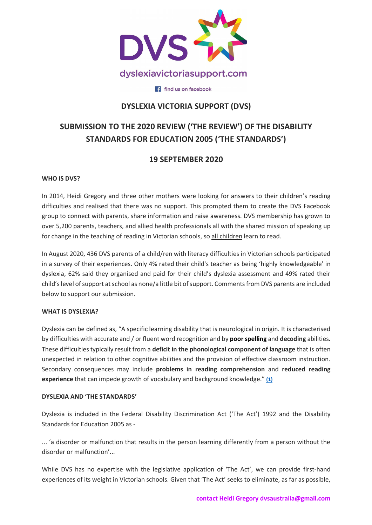

#### $\left| \cdot \right|$  find us on facebook

## **DYSLEXIA VICTORIA SUPPORT (DVS)**

# **SUBMISSION TO THE 2020 REVIEW ('THE REVIEW') OF THE DISABILITY STANDARDS FOR EDUCATION 2005 ('THE STANDARDS')**

## **19 SEPTEMBER 2020**

## **WHO IS DVS?**

In 2014, Heidi Gregory and three other mothers were looking for answers to their children's reading difficulties and realised that there was no support. This prompted them to create the DVS Facebook group to connect with parents, share information and raise awareness. DVS membership has grown to over 5,200 parents, teachers, and allied health professionals all with the shared mission of speaking up for change in the teaching of reading in Victorian schools, so all children learn to read.

In August 2020, 436 DVS parents of a child/ren with literacy difficulties in Victorian schools participated in a survey of their experiences. Only 4% rated their child's teacher as being 'highly knowledgeable' in dyslexia, 62% said they organised and paid for their child's dyslexia assessment and 49% rated their child's level of support at school as none/a little bit of support. Comments from DVS parents are included below to support our submission.

#### **WHAT IS DYSLEXIA?**

Dyslexia can be defined as, "A specific learning disability that is neurological in origin. It is characterised by difficulties with accurate and / or fluent word recognition and by **poor spelling** and **decoding** abilities. These difficulties typically result from a **deficit in the phonological component of language** that is often unexpected in relation to other cognitive abilities and the provision of effective classroom instruction. Secondary consequences may include **problems in reading comprehension** and **reduced reading experience** that can impede growth of vocabulary and background knowledge." **[\(1\)](https://auspeld.org.au/2018/02/15/identifying-dyslexia-early-years/)**

#### **DYSLEXIA AND 'THE STANDARDS'**

Dyslexia is included in the Federal Disability Discrimination Act ('The Act') 1992 and the Disability Standards for Education 2005 as -

... 'a disorder or malfunction that results in the person learning differently from a person without the disorder or malfunction'...

While DVS has no expertise with the legislative application of 'The Act', we can provide first-hand experiences of its weight in Victorian schools. Given that 'The Act' seeks to eliminate, as far as possible,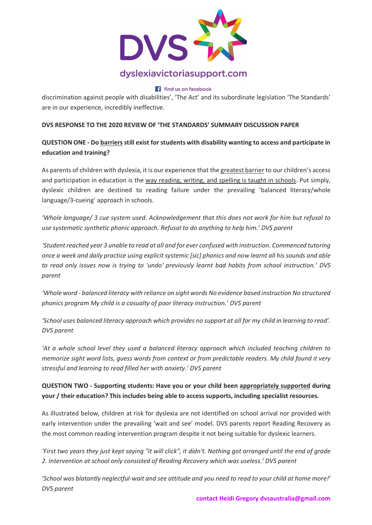

## dyslexiavictoriasupport.com

#### $\left| \cdot \right|$  find us on facebook

discrimination against people with disabilities', 'The Act' and its subordinate legislation 'The Standards' are in our experience, incredibly ineffective.

## **DVS RESPONSE TO THE 2020 REVIEW OF 'THE STANDARDS' SUMMARY DISCUSSION PAPER**

## **QUESTION ONE - Do barriers still exist for students with disability wanting to access and participate in education and training?**

As parents of children with dyslexia, it is our experience that the greatest barrier to our children's access and participation in education is the way reading, writing, and spelling is taught in schools. Put simply, dyslexic children are destined to reading failure under the prevailing 'balanced literacy/whole language/3-cueing' approach in schools.

*'Whole language/ 3 cue system used. Acknowledgement that this does not work for him but refusal to use systematic synthetic phonic approach. Refusal to do anything to help him.' DVS parent* 

*'Student reached year 3 unable to read at all and for ever confused with instruction. Commenced tutoring once a week and daily practice using explicit systemic [sic] phonics and now learnt all his sounds and able to read only issues now is trying to 'undo' previously learnt bad habits from school instruction.' DVS parent*

*'Whole word - balanced literacy with reliance on sight words No evidence based instruction No structured phonics program My child is a casualty of poor literacy instruction.' DVS parent* 

'School uses balanced literacy approach which provides no support at all for my child in *learning to read'*. *DVS parent* 

*'At a whole school level they used a balanced literacy approach which included teaching children to memorize sight word lists, guess words from context or from predictable readers. My child found it very stressful and learning to read filled her with anxiety.' DVS parent* 

## **QUESTION TWO - Supporting students: Have you or your child been appropriately supported during your / their education? This includes being able to access supports, including specialist resources.**

As illustrated below, children at risk for dyslexia are not identified on school arrival nor provided with early intervention under the prevailing 'wait and see' model. DVS parents report Reading Recovery as the most common reading intervention program despite it not being suitable for dyslexic learners.

*'First two years they just kept saying "it will click", it didn't. Nothing got arranged until the end of grade 2. Intervention at school only consisted of Reading Recovery which was useless.' DVS parent* 

*'School was blatantly neglectful-wait and see attitude and you need to read to your child at home more!' DVS parent*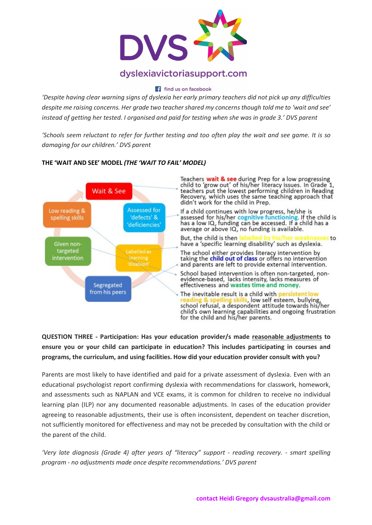

## dyslexiavictoriasupport.com

#### $\left| \cdot \right|$  find us on facebook

*'Despite having clear warning signs of dyslexia her early primary teachers did not pick up any difficulties despite me raising concerns. Her grade two teacher shared my concerns though told me to 'wait and see' instead of getting her tested. I organised and paid for testing when she was in grade 3.' DVS parent* 

*'Schools seem reluctant to refer for further testing and too often play the wait and see game. It is so damaging for our children.' DVS parent* 

## **THE 'WAIT AND SEE' MODEL** *(THE 'WAIT TO FAIL' MODEL)*



## **QUESTION THREE - Participation: Has your education provider/s made reasonable adjustments to ensure you or your child can participate in education? This includes participating in courses and programs, the curriculum, and using facilities. How did your education provider consult with you?**

Parents are most likely to have identified and paid for a private assessment of dyslexia. Even with an educational psychologist report confirming dyslexia with recommendations for classwork, homework, and assessments such as NAPLAN and VCE exams, it is common for children to receive no individual learning plan (ILP) nor any documented reasonable adjustments. In cases of the education provider agreeing to reasonable adjustments, their use is often inconsistent, dependent on teacher discretion, not sufficiently monitored for effectiveness and may not be preceded by consultation with the child or the parent of the child.

*'Very late diagnosis (Grade 4) after years of "literacy" support - reading recovery. - smart spelling program - no adjustments made once despite recommendations.' DVS parent*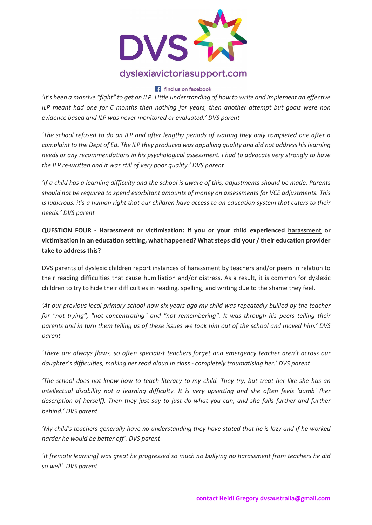

## dyslexiavictoriasupport.com

#### $\left| \cdot \right|$  find us on facebook

*'It's been a massive "fight" to get an ILP. Little understanding of how to write and implement an effective ILP meant had one for 6 months then nothing for years, then another attempt but goals were non evidence based and ILP was never monitored or evaluated.' DVS parent*

*'The school refused to do an ILP and after lengthy periods of waiting they only completed one after a complaint to the Dept of Ed. The ILP they produced was appalling quality and did not address his learning needs or any recommendations in his psychological assessment. I had to advocate very strongly to have the ILP re-written and it was still of very poor quality.' DVS parent* 

*'If a child has a learning difficulty and the school is aware of this, adjustments should be made. Parents should not be required to spend exorbitant amounts of money on assessments for VCE adjustments. This is ludicrous, it's a human right that our children have access to an education system that caters to their needs.' DVS parent* 

**QUESTION FOUR - Harassment or victimisation: If you or your child experienced harassment or victimisation in an education setting, what happened? What steps did your / their education provider take to address this?**

DVS parents of dyslexic children report instances of harassment by teachers and/or peers in relation to their reading difficulties that cause humiliation and/or distress. As a result, it is common for dyslexic children to try to hide their difficulties in reading, spelling, and writing due to the shame they feel.

*'At our previous local primary school now six years ago my child was repeatedly bullied by the teacher for "not trying", "not concentrating" and "not remembering". It was through his peers telling their parents and in turn them telling us of these issues we took him out of the school and moved him.' DVS parent* 

*'There are always flaws, so often specialist teachers forget and emergency teacher aren't across our daughter's difficulties, making her read aloud in class - completely traumatising her.' DVS parent* 

*'The school does not know how to teach literacy to my child. They try, but treat her like she has an intellectual disability not a learning difficulty. It is very upsetting and she often feels 'dumb' (her description of herself). Then they just say to just do what you can, and she falls further and further behind.' DVS parent* 

*'My child's teachers generally have no understanding they have stated that he is lazy and if he worked harder he would be better off'. DVS parent* 

*'It [remote learning] was great he progressed so much no bullying no harassment from teachers he did so well'. DVS parent*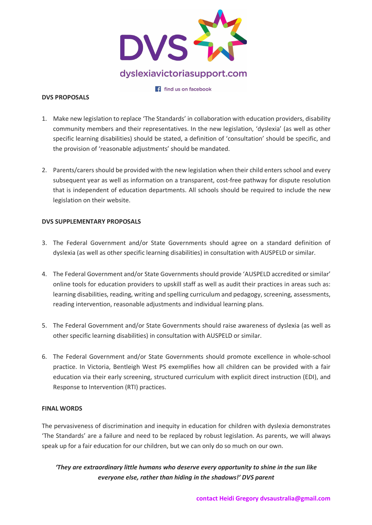

find us on facebook

### **DVS PROPOSALS**

- 1. Make new legislation to replace 'The Standards' in collaboration with education providers, disability community members and their representatives. In the new legislation, 'dyslexia' (as well as other specific learning disabilities) should be stated, a definition of 'consultation' should be specific, and the provision of 'reasonable adjustments' should be mandated.
- 2. Parents/carers should be provided with the new legislation when their child enters school and every subsequent year as well as information on a transparent, cost-free pathway for dispute resolution that is independent of education departments. All schools should be required to include the new legislation on their website.

## **DVS SUPPLEMENTARY PROPOSALS**

- 3. The Federal Government and/or State Governments should agree on a standard definition of dyslexia (as well as other specific learning disabilities) in consultation with AUSPELD or similar.
- 4. The Federal Government and/or State Governments should provide 'AUSPELD accredited or similar' online tools for education providers to upskill staff as well as audit their practices in areas such as: learning disabilities, reading, writing and spelling curriculum and pedagogy, screening, assessments, reading intervention, reasonable adjustments and individual learning plans.
- 5. The Federal Government and/or State Governments should raise awareness of dyslexia (as well as other specific learning disabilities) in consultation with AUSPELD or similar.
- 6. The Federal Government and/or State Governments should promote excellence in whole-school practice. In Victoria, Bentleigh West PS exemplifies how all children can be provided with a fair education via their early screening, structured curriculum with explicit direct instruction (EDI), and Response to Intervention (RTI) practices.

#### **FINAL WORDS**

The pervasiveness of discrimination and inequity in education for children with dyslexia demonstrates 'The Standards' are a failure and need to be replaced by robust legislation. As parents, we will always speak up for a fair education for our children, but we can only do so much on our own.

*'They are extraordinary little humans who deserve every opportunity to shine in the sun like everyone else, rather than hiding in the shadows!' DVS parent*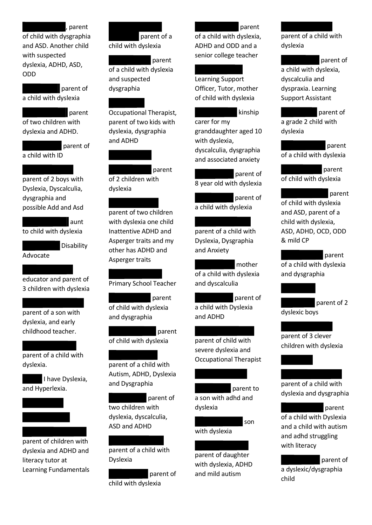#### , parent

of child with dysgraphia and ASD. Another child with suspected dyslexia, ADHD, ASD, ODD

 parent of a child with dyslexia

## parent

of two children with dyslexia and ADHD.

 parent of a child with ID

parent of 2 boys with Dyslexia, Dyscalculia, dysgraphia and possible Add and Asd

 aunt to child with dyslexia

Disability

Advocate

educator and parent of 3 children with dyslexia

parent of a son with dyslexia, and early childhood teacher.

parent of a child with dyslexia.

 I have Dyslexia, and Hyperlexia.



parent of children with dyslexia and ADHD and literacy tutor at Learning Fundamentals



parent

of a child with dyslexia and suspected dysgraphia

Occupational Therapist, parent of two kids with dyslexia, dysgraphia and ADHD

parent

of 2 children with dyslexia

parent of two children with dyslexia one child Inattentive ADHD and Asperger traits and my other has ADHD and Asperger traits

Primary School Teacher

 parent of child with dyslexia and dysgraphia

 parent of child with dyslexia

parent of a child with Autism, ADHD, Dyslexia and Dysgraphia



two children with dyslexia, dyscalculia, ASD and ADHD

parent of a child with Dyslexia

 parent of child with dyslexia

### parent

of a child with dyslexia, ADHD and ODD and a senior college teacher

Learning Support Officer, Tutor, mother of child with dyslexia

kinship

carer for my granddaughter aged 10 with dyslexia, dyscalculia, dysgraphia and associated anxiety

 parent of 8 year old with dyslexia

 parent of a child with dyslexia

parent of a child with Dyslexia, Dysgraphia and Anxiety

 mother of a child with dyslexia and dyscalculia

 parent of a child with Dyslexia and ADHD

parent of child with severe dyslexia and Occupational Therapist

 parent to a son with adhd and dyslexia

son

with dyslexia

parent of daughter with dyslexia, ADHD and mild autism

parent of a child with dyslexia

parent of

a child with dyslexia, dyscalculia and dyspraxia. Learning Support Assistant

## parent of

a grade 2 child with dyslexia

 parent of a child with dyslexia

 parent of child with dyslexia

parent

of child with dyslexia and ASD, parent of a child with dyslexia, ASD, ADHD, OCD, ODD & mild CP

 parent of a child with dyslexia and dysgraphia

parent of 2

parent of 3 clever children with dyslexia

parent of a child with dyslexia and dysgraphia

 parent of a child with Dyslexia and a child with autism and adhd struggling with literacy

 parent of a dyslexic/dysgraphia child



dyslexic boys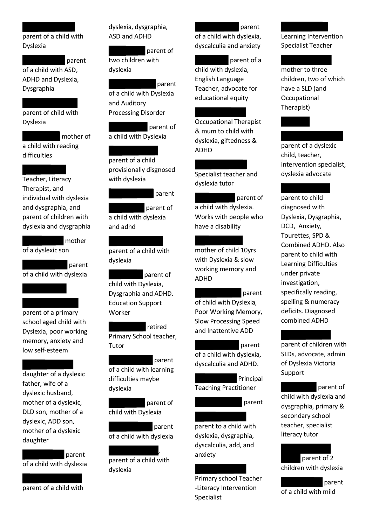parent of a child with Dyslexia

 parent of a child with ASD, ADHD and Dyslexia, Dysgraphia

parent of child with Dyslexia

 mother of a child with reading difficulties

Teacher, Literacy Therapist, and individual with dyslexia and dysgraphia, and parent of children with dyslexia and dysgraphia

 mother of a dyslexic son

 parent of a child with dyslexia

parent of a primary school aged child with Dyslexia, poor working memory, anxiety and low self-esteem

daughter of a dyslexic father, wife of a dyslexic husband, mother of a dyslexic, DLD son, mother of a dyslexic, ADD son, mother of a dyslexic daughter

 parent of a child with dyslexia

parent of a child with

dyslexia, dysgraphia, ASD and ADHD

 parent of two children with dyslexia

 parent of a child with Dyslexia and Auditory Processing Disorder

 parent of a child with Dyslexia

parent of a child provisionally disgnosed with dyslexia

parent

parent of a child with dyslexia and adhd

parent of a child with dyslexia

 parent of child with Dyslexia, Dysgraphia and ADHD. Education Support Worker

 retired Primary School teacher, Tutor

 parent of a child with learning difficulties maybe dyslexia

 parent of child with Dyslexia

 parent of a child with dyslexia

, parent of a child with dyslexia

parent

of a child with dyslexia, dyscalculia and anxiety

 parent of a child with dyslexia, English Language Teacher, advocate for educational equity

Occupational Therapist & mum to child with dyslexia, giftedness & ADHD

Specialist teacher and dyslexia tutor

 parent of a child with dyslexia. Works with people who have a disability

mother of child 10yrs with Dyslexia & slow working memory and ADHD

 parent of child with Dyslexia, Poor Working Memory, Slow Processing Speed and Inattentive ADD

 parent of a child with dyslexia, dyscalculia and ADHD.

 Principal Teaching Practitioner

parent

parent to a child with dyslexia, dysgraphia, dyscalculia, add, and anxiety

Primary school Teacher -Literacy Intervention Specialist

Learning Intervention Specialist Teacher

mother to three children, two of which have a SLD (and Occupational Therapist)

parent of a dyslexic child, teacher, intervention specialist, dyslexia advocate

# parent to child

diagnosed with Dyslexia, Dysgraphia, DCD, Anxiety, Tourettes, SPD & Combined ADHD. Also parent to child with Learning Difficulties under private investigation, specifically reading, spelling & numeracy deficits. Diagnosed combined ADHD

parent of children with SLDs, advocate, admin of Dyslexia Victoria Support

 parent of child with dyslexia and dysgraphia, primary & secondary school teacher, specialist literacy tutor

 parent of 2 children with dyslexia

 parent of a child with mild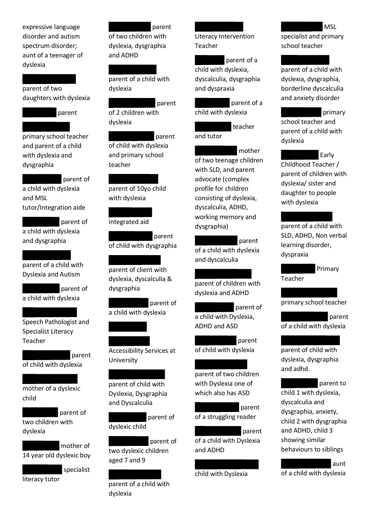expressive language disorder and autism spectrum disorder; aunt of a teenager of dyslexia

parent of two daughters with dyslexia

parent

primary school teacher and parent of a child with dyslexia and dysgraphia

 parent of a child with dyslexia and MSL tutor/Integration aide

 parent of a child with dyslexia and dysgraphia

parent of a child with Dyslexia and Autism

 parent of a child with dyslexia

Speech Pathologist and Specialist Literacy Teacher

 parent of child with dyslexia

mother of a dyslexic child

 parent of two children with dyslexia

 mother of 14 year old dyslexic boy

 specialist literacy tutor

 parent of two children with dyslexia, dysgraphia and ADHD

parent of a child with dyslexia

parent

of 2 children with dyslexia

 parent of child with dyslexia and primary school teacher

parent of 10yo child with dyslexia

integrated aid

 parent of child with dysgraphia

parent of client with dyslexia, dyscalculia & dysgraphia

 parent of a child with dyslexia

Accessibility Services at University

parent of child with Dyslexia, Dysgraphia and Dyscalculia

 parent of dyslexic child

parent of

two dyslexic children aged 7 and 9

parent of a child with dyslexia

Literacy Intervention Teacher

 parent of a child with dyslexia, dyscalculia, dysgraphia and dyspraxia

 parent of a child with dyslexia

 teacher and tutor

 mother of two teenage children with SLD, and parent advocate (complex profile for children consisting of dyslexia, dyscalculia, ADHD, working memory and dysgraphia)

 parent of a child with dyslexia and dyscalculia

parent of children with dyslexia and ADHD

 parent of a child with Dyslexia, ADHD and ASD

 parent of child with dyslexia

parent of two children with Dyslexia one of which also has ASD

 parent of a struggling reader

 parent of a child with Dyslexia and ADHD

child with Dyslexia

MSL

specialist and primary school teacher

parent of a child with dyslexia, dysgraphia, borderline dyscalculia and anxiety disorder

 primary school teacher and parent of a child with

**Early** Childhood Teacher / parent of children with dyslexia/ sister and daughter to people with dyslexia

dyslexia

parent of a child with SLD, ADHD, Non verbal learning disorder, dyspraxia

Primary

primary school teacher

Teacher

 parent of a child with dyslexia

parent of child with dyslexia, dysgraphia and adhd.

 parent to child 1 with dyslexia, dyscalculia and dysgraphia, anxiety, child 2 with dysgraphia and ADHD, child 3 showing similar behaviours to siblings

aunt

of a child with dyslexia